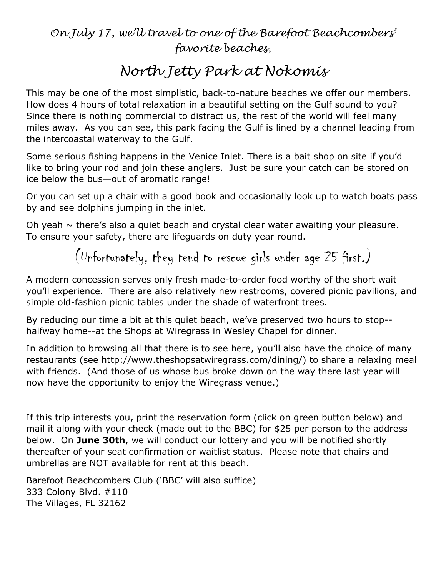## *On July 17, we'll travel to one of the Barefoot Beachcombers' favorite beaches,*

## *North Jetty Park at Nokomis*

This may be one of the most simplistic, back-to-nature beaches we offer our members. How does 4 hours of total relaxation in a beautiful setting on the Gulf sound to you? Since there is nothing commercial to distract us, the rest of the world will feel many miles away. As you can see, this park facing the Gulf is lined by a channel leading from the intercoastal waterway to the Gulf.

Some serious fishing happens in the Venice Inlet. There is a bait shop on site if you'd like to bring your rod and join these anglers. Just be sure your catch can be stored on ice below the bus—out of aromatic range!

Or you can set up a chair with a good book and occasionally look up to watch boats pass by and see dolphins jumping in the inlet.

Oh yeah  $\sim$  there's also a quiet beach and crystal clear water awaiting your pleasure. To ensure your safety, there are lifeguards on duty year round.

(Unfortunately, they tend to rescue girls under age 25 first.)

A modern concession serves only fresh made-to-order food worthy of the short wait you'll experience. There are also relatively new restrooms, covered picnic pavilions, and simple old-fashion picnic tables under the shade of waterfront trees.

By reducing our time a bit at this quiet beach, we've preserved two hours to stop- halfway home--at the Shops at Wiregrass in Wesley Chapel for dinner.

In addition to browsing all that there is to see here, you'll also have the choice of many restaurants (see [http://www.theshopsatwiregrass.com/dining/\)](http://www.theshopsatwiregrass.com/dining/)) to share a relaxing meal with friends. (And those of us whose bus broke down on the way there last year will now have the opportunity to enjoy the Wiregrass venue.)

If this trip interests you, print the reservation form (click on green button below) and mail it along with your check (made out to the BBC) for \$25 per person to the address below. On **June 30th**, we will conduct our lottery and you will be notified shortly thereafter of your seat confirmation or waitlist status. Please note that chairs and umbrellas are NOT available for rent at this beach.

Barefoot Beachcombers Club ('BBC' will also suffice) 333 Colony Blvd. #110 The Villages, FL 32162